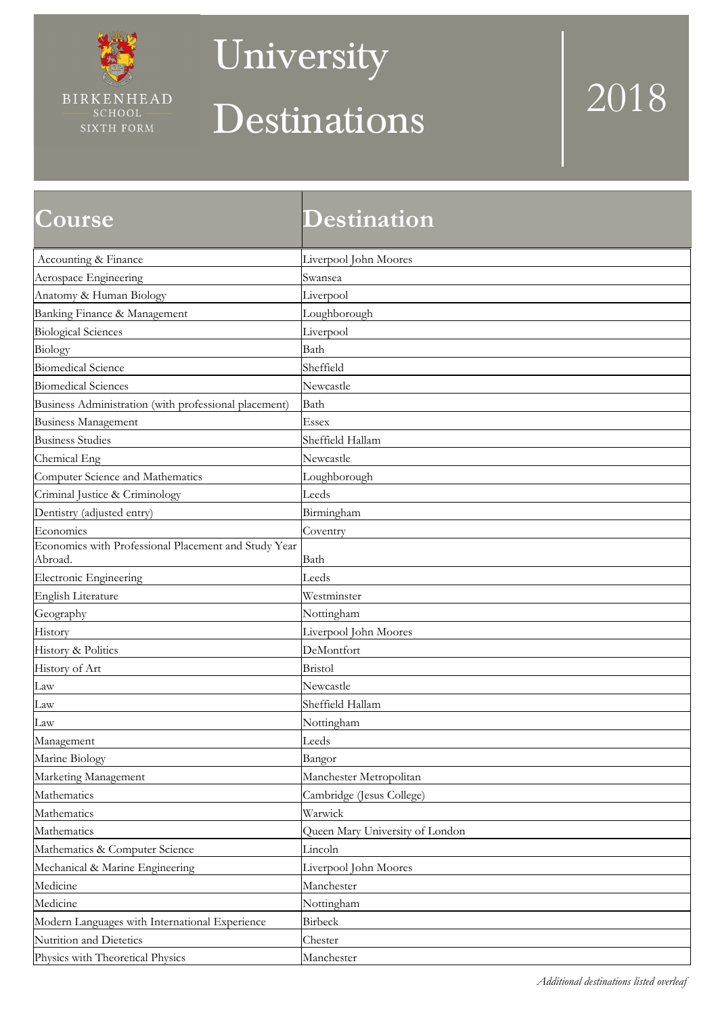

### **University**

## Destinations 2018

| <b>Course</b>                                                   | <b>Destination</b>              |
|-----------------------------------------------------------------|---------------------------------|
| Accounting & Finance                                            | Liverpool John Moores           |
| Aerospace Engineering                                           | Swansea                         |
| Anatomy & Human Biology                                         | Liverpool                       |
| Banking Finance & Management                                    | Loughborough                    |
| <b>Biological Sciences</b>                                      | Liverpool                       |
| Biology                                                         | Bath                            |
| <b>Biomedical Science</b>                                       | Sheffield                       |
| <b>Biomedical Sciences</b>                                      | Newcastle                       |
| Business Administration (with professional placement)           | Bath                            |
| <b>Business Management</b>                                      | Essex                           |
| <b>Business Studies</b>                                         | Sheffield Hallam                |
| Chemical Eng                                                    | Newcastle                       |
| Computer Science and Mathematics                                | Loughborough                    |
| Criminal Justice & Criminology                                  | Leeds                           |
| Dentistry (adjusted entry)                                      | Birmingham                      |
| Economics                                                       | Coventry                        |
| Economics with Professional Placement and Study Year<br>Abroad. | Bath                            |
| Electronic Engineering                                          | Leeds                           |
| English Literature                                              | Westminster                     |
| Geography                                                       | Nottingham                      |
| History                                                         | Liverpool John Moores           |
| History & Politics                                              | DeMontfort                      |
| History of Art                                                  | <b>Bristol</b>                  |
| Law                                                             | Newcastle                       |
| Law                                                             | Sheffield Hallam                |
| Law                                                             | Nottingham                      |
| Management                                                      | Leeds                           |
| Marine Biology                                                  | Bangor                          |
| Marketing Management                                            | Manchester Metropolitan         |
| Mathematics                                                     | Cambridge (Jesus College)       |
| Mathematics                                                     | Warwick                         |
| Mathematics                                                     | Queen Mary University of London |
| Mathematics & Computer Science                                  | Lincoln                         |
| Mechanical & Marine Engineering                                 | Liverpool John Moores           |
| Medicine                                                        | Manchester                      |
| Medicine                                                        | Nottingham                      |
| Modern Languages with International Experience                  | Birbeck                         |
| Nutrition and Dietetics                                         | Chester                         |
| Physics with Theoretical Physics                                | Manchester                      |